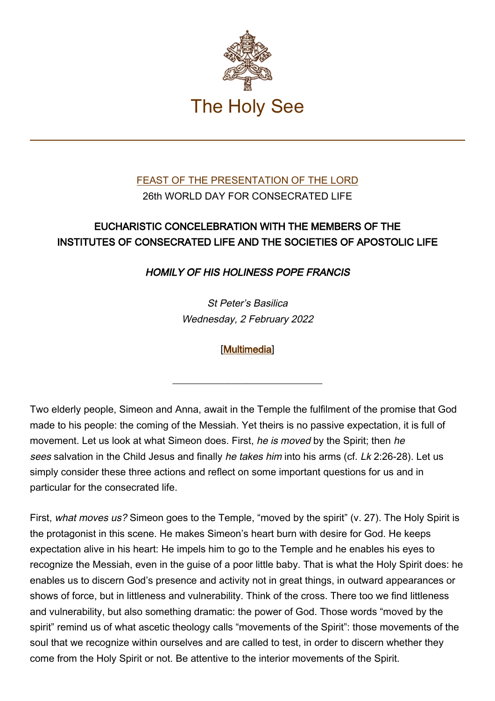

## [FEAST OF THE PRESENTATION OF THE LORD](https://www.vatican.va/news_services/liturgy/libretti/2022/20220202-libretto-presentazione-del-signore.pdf) 26th WORLD DAY FOR CONSECRATED LIFE

## EUCHARISTIC CONCELEBRATION WITH THE MEMBERS OF THE INSTITUTES OF CONSECRATED LIFE AND THE SOCIETIES OF APOSTOLIC LIFE

HOMILY OF HIS HOLINESS POPE FRANCIS

St Peter's Basilica Wednesday, 2 February 2022

[\[Multimedia](http://w2.vatican.va/content/francesco/en/events/event.dir.html/content/vaticanevents/en/2022/2/2/presentazione-signore.html)]

 $\_$ 

Two elderly people, Simeon and Anna, await in the Temple the fulfilment of the promise that God made to his people: the coming of the Messiah. Yet theirs is no passive expectation, it is full of movement. Let us look at what Simeon does. First, he is moved by the Spirit; then he sees salvation in the Child Jesus and finally he takes him into his arms (cf. Lk 2:26-28). Let us simply consider these three actions and reflect on some important questions for us and in particular for the consecrated life.

First, what moves us? Simeon goes to the Temple, "moved by the spirit" (v. 27). The Holy Spirit is the protagonist in this scene. He makes Simeon's heart burn with desire for God. He keeps expectation alive in his heart: He impels him to go to the Temple and he enables his eyes to recognize the Messiah, even in the guise of a poor little baby. That is what the Holy Spirit does: he enables us to discern God's presence and activity not in great things, in outward appearances or shows of force, but in littleness and vulnerability. Think of the cross. There too we find littleness and vulnerability, but also something dramatic: the power of God. Those words "moved by the spirit" remind us of what ascetic theology calls "movements of the Spirit": those movements of the soul that we recognize within ourselves and are called to test, in order to discern whether they come from the Holy Spirit or not. Be attentive to the interior movements of the Spirit.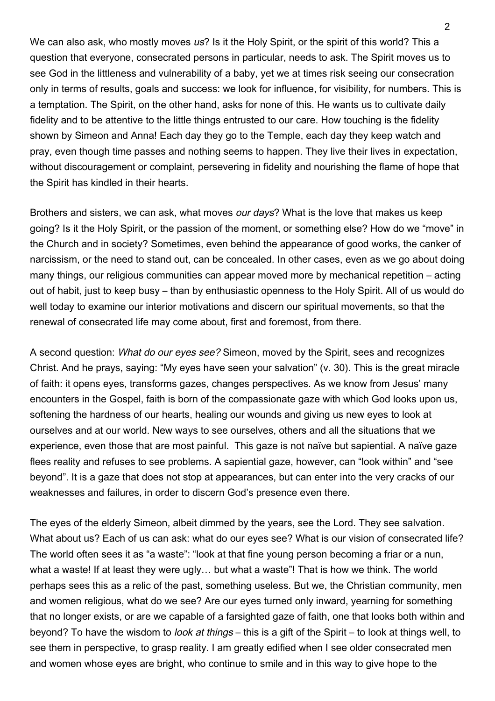We can also ask, who mostly moves us? Is it the Holy Spirit, or the spirit of this world? This a question that everyone, consecrated persons in particular, needs to ask. The Spirit moves us to see God in the littleness and vulnerability of a baby, yet we at times risk seeing our consecration only in terms of results, goals and success: we look for influence, for visibility, for numbers. This is a temptation. The Spirit, on the other hand, asks for none of this. He wants us to cultivate daily fidelity and to be attentive to the little things entrusted to our care. How touching is the fidelity shown by Simeon and Anna! Each day they go to the Temple, each day they keep watch and pray, even though time passes and nothing seems to happen. They live their lives in expectation, without discouragement or complaint, persevering in fidelity and nourishing the flame of hope that the Spirit has kindled in their hearts.

Brothers and sisters, we can ask, what moves our days? What is the love that makes us keep going? Is it the Holy Spirit, or the passion of the moment, or something else? How do we "move" in the Church and in society? Sometimes, even behind the appearance of good works, the canker of narcissism, or the need to stand out, can be concealed. In other cases, even as we go about doing many things, our religious communities can appear moved more by mechanical repetition – acting out of habit, just to keep busy – than by enthusiastic openness to the Holy Spirit. All of us would do well today to examine our interior motivations and discern our spiritual movements, so that the renewal of consecrated life may come about, first and foremost, from there.

A second question: What do our eyes see? Simeon, moved by the Spirit, sees and recognizes Christ. And he prays, saying: "My eyes have seen your salvation" (v. 30). This is the great miracle of faith: it opens eyes, transforms gazes, changes perspectives. As we know from Jesus' many encounters in the Gospel, faith is born of the compassionate gaze with which God looks upon us, softening the hardness of our hearts, healing our wounds and giving us new eyes to look at ourselves and at our world. New ways to see ourselves, others and all the situations that we experience, even those that are most painful. This gaze is not naïve but sapiential. A naïve gaze flees reality and refuses to see problems. A sapiential gaze, however, can "look within" and "see beyond". It is a gaze that does not stop at appearances, but can enter into the very cracks of our weaknesses and failures, in order to discern God's presence even there.

The eyes of the elderly Simeon, albeit dimmed by the years, see the Lord. They see salvation. What about us? Each of us can ask: what do our eyes see? What is our vision of consecrated life? The world often sees it as "a waste": "look at that fine young person becoming a friar or a nun, what a waste! If at least they were ugly... but what a waste"! That is how we think. The world perhaps sees this as a relic of the past, something useless. But we, the Christian community, men and women religious, what do we see? Are our eyes turned only inward, yearning for something that no longer exists, or are we capable of a farsighted gaze of faith, one that looks both within and beyond? To have the wisdom to look at things – this is a gift of the Spirit – to look at things well, to see them in perspective, to grasp reality. I am greatly edified when I see older consecrated men and women whose eyes are bright, who continue to smile and in this way to give hope to the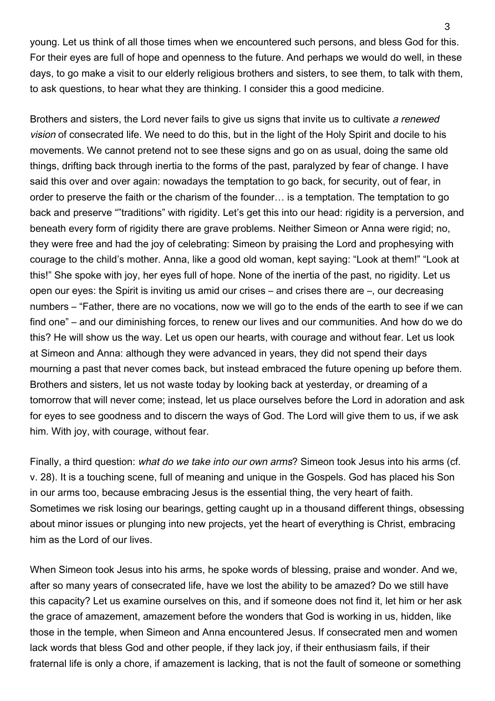young. Let us think of all those times when we encountered such persons, and bless God for this. For their eyes are full of hope and openness to the future. And perhaps we would do well, in these days, to go make a visit to our elderly religious brothers and sisters, to see them, to talk with them, to ask questions, to hear what they are thinking. I consider this a good medicine.

Brothers and sisters, the Lord never fails to give us signs that invite us to cultivate a renewed vision of consecrated life. We need to do this, but in the light of the Holy Spirit and docile to his movements. We cannot pretend not to see these signs and go on as usual, doing the same old things, drifting back through inertia to the forms of the past, paralyzed by fear of change. I have said this over and over again: nowadays the temptation to go back, for security, out of fear, in order to preserve the faith or the charism of the founder… is a temptation. The temptation to go back and preserve ""traditions" with rigidity. Let's get this into our head: rigidity is a perversion, and beneath every form of rigidity there are grave problems. Neither Simeon or Anna were rigid; no, they were free and had the joy of celebrating: Simeon by praising the Lord and prophesying with courage to the child's mother. Anna, like a good old woman, kept saying: "Look at them!" "Look at this!" She spoke with joy, her eyes full of hope. None of the inertia of the past, no rigidity. Let us open our eyes: the Spirit is inviting us amid our crises – and crises there are –, our decreasing numbers – "Father, there are no vocations, now we will go to the ends of the earth to see if we can find one" – and our diminishing forces, to renew our lives and our communities. And how do we do this? He will show us the way. Let us open our hearts, with courage and without fear. Let us look at Simeon and Anna: although they were advanced in years, they did not spend their days mourning a past that never comes back, but instead embraced the future opening up before them. Brothers and sisters, let us not waste today by looking back at yesterday, or dreaming of a tomorrow that will never come; instead, let us place ourselves before the Lord in adoration and ask for eyes to see goodness and to discern the ways of God. The Lord will give them to us, if we ask him. With joy, with courage, without fear.

Finally, a third question: what do we take into our own arms? Simeon took Jesus into his arms (cf. v. 28). It is a touching scene, full of meaning and unique in the Gospels. God has placed his Son in our arms too, because embracing Jesus is the essential thing, the very heart of faith. Sometimes we risk losing our bearings, getting caught up in a thousand different things, obsessing about minor issues or plunging into new projects, yet the heart of everything is Christ, embracing him as the Lord of our lives.

When Simeon took Jesus into his arms, he spoke words of blessing, praise and wonder. And we, after so many years of consecrated life, have we lost the ability to be amazed? Do we still have this capacity? Let us examine ourselves on this, and if someone does not find it, let him or her ask the grace of amazement, amazement before the wonders that God is working in us, hidden, like those in the temple, when Simeon and Anna encountered Jesus. If consecrated men and women lack words that bless God and other people, if they lack joy, if their enthusiasm fails, if their fraternal life is only a chore, if amazement is lacking, that is not the fault of someone or something